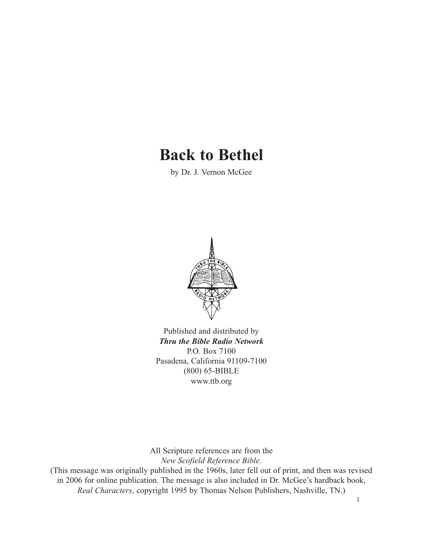# **Back to Bethel**

by Dr. J. Vernon McGee



Published and distributed by *Thru the Bible Radio Network* P.O. Box 7100 Pasadena, California 91109-7100 (800) 65-BIBLE www.ttb.org

All Scripture references are from the *New Scofield Reference Bible*.

(This message was originally published in the 1960s, later fell out of print, and then was revised in 2006 for online publication. The message is also included in Dr. McGee's hardback book, *Real Characters*, copyright 1995 by Thomas Nelson Publishers, Nashville, TN.)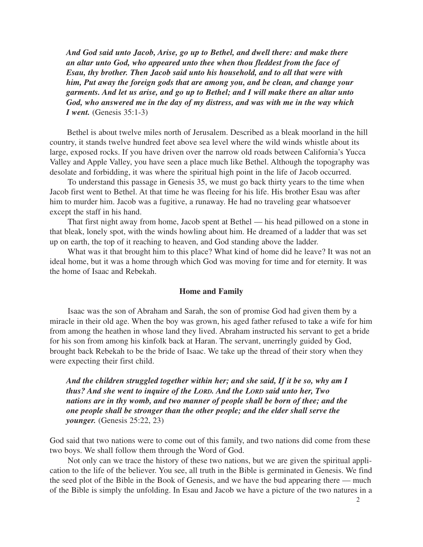*And God said unto Jacob, Arise, go up to Bethel, and dwell there: and make there an altar unto God, who appeared unto thee when thou fleddest from the face of Esau, thy brother. Then Jacob said unto his household, and to all that were with him, Put away the foreign gods that are among you, and be clean, and change your garments. And let us arise, and go up to Bethel; and I will make there an altar unto God, who answered me in the day of my distress, and was with me in the way which I went.* (Genesis 35:1-3)

Bethel is about twelve miles north of Jerusalem. Described as a bleak moorland in the hill country, it stands twelve hundred feet above sea level where the wild winds whistle about its large, exposed rocks. If you have driven over the narrow old roads between California's Yucca Valley and Apple Valley, you have seen a place much like Bethel. Although the topography was desolate and forbidding, it was where the spiritual high point in the life of Jacob occurred.

To understand this passage in Genesis 35, we must go back thirty years to the time when Jacob first went to Bethel. At that time he was fleeing for his life. His brother Esau was after him to murder him. Jacob was a fugitive, a runaway. He had no traveling gear whatsoever except the staff in his hand.

That first night away from home, Jacob spent at Bethel — his head pillowed on a stone in that bleak, lonely spot, with the winds howling about him. He dreamed of a ladder that was set up on earth, the top of it reaching to heaven, and God standing above the ladder.

What was it that brought him to this place? What kind of home did he leave? It was not an ideal home, but it was a home through which God was moving for time and for eternity. It was the home of Isaac and Rebekah.

#### **Home and Family**

Isaac was the son of Abraham and Sarah, the son of promise God had given them by a miracle in their old age. When the boy was grown, his aged father refused to take a wife for him from among the heathen in whose land they lived. Abraham instructed his servant to get a bride for his son from among his kinfolk back at Haran. The servant, unerringly guided by God, brought back Rebekah to be the bride of Isaac. We take up the thread of their story when they were expecting their first child.

*And the children struggled together within her; and she said, If it be so, why am I thus? And she went to inquire of the LORD. And the LORD said unto her, Two nations are in thy womb, and two manner of people shall be born of thee; and the one people shall be stronger than the other people; and the elder shall serve the younger.* (Genesis 25:22, 23)

God said that two nations were to come out of this family, and two nations did come from these two boys. We shall follow them through the Word of God.

Not only can we trace the history of these two nations, but we are given the spiritual application to the life of the believer. You see, all truth in the Bible is germinated in Genesis. We find the seed plot of the Bible in the Book of Genesis, and we have the bud appearing there — much of the Bible is simply the unfolding. In Esau and Jacob we have a picture of the two natures in a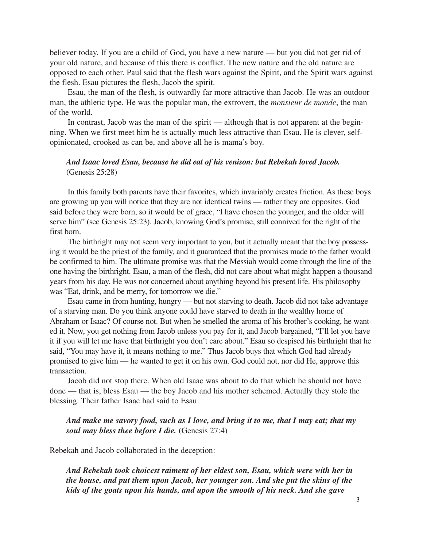believer today. If you are a child of God, you have a new nature — but you did not get rid of your old nature, and because of this there is conflict. The new nature and the old nature are opposed to each other. Paul said that the flesh wars against the Spirit, and the Spirit wars against the flesh. Esau pictures the flesh, Jacob the spirit.

Esau, the man of the flesh, is outwardly far more attractive than Jacob. He was an outdoor man, the athletic type. He was the popular man, the extrovert, the *monsieur de monde*, the man of the world.

In contrast, Jacob was the man of the spirit — although that is not apparent at the beginning. When we first meet him he is actually much less attractive than Esau. He is clever, selfopinionated, crooked as can be, and above all he is mama's boy.

#### *And Isaac loved Esau, because he did eat of his venison: but Rebekah loved Jacob.* (Genesis 25:28)

In this family both parents have their favorites, which invariably creates friction. As these boys are growing up you will notice that they are not identical twins — rather they are opposites. God said before they were born, so it would be of grace, "I have chosen the younger, and the older will serve him" (see Genesis 25:23). Jacob, knowing God's promise, still connived for the right of the first born.

The birthright may not seem very important to you, but it actually meant that the boy possessing it would be the priest of the family, and it guaranteed that the promises made to the father would be confirmed to him. The ultimate promise was that the Messiah would come through the line of the one having the birthright. Esau, a man of the flesh, did not care about what might happen a thousand years from his day. He was not concerned about anything beyond his present life. His philosophy was "Eat, drink, and be merry, for tomorrow we die."

Esau came in from hunting, hungry — but not starving to death. Jacob did not take advantage of a starving man. Do you think anyone could have starved to death in the wealthy home of Abraham or Isaac? Of course not. But when he smelled the aroma of his brother's cooking, he wanted it. Now, you get nothing from Jacob unless you pay for it, and Jacob bargained, "I'll let you have it if you will let me have that birthright you don't care about." Esau so despised his birthright that he said, "You may have it, it means nothing to me." Thus Jacob buys that which God had already promised to give him — he wanted to get it on his own. God could not, nor did He, approve this transaction.

Jacob did not stop there. When old Isaac was about to do that which he should not have done — that is, bless Esau — the boy Jacob and his mother schemed. Actually they stole the blessing. Their father Isaac had said to Esau:

## *And make me savory food, such as I love, and bring it to me, that I may eat; that my soul may bless thee before I die.* (Genesis 27:4)

Rebekah and Jacob collaborated in the deception:

*And Rebekah took choicest raiment of her eldest son, Esau, which were with her in the house, and put them upon Jacob, her younger son. And she put the skins of the kids of the goats upon his hands, and upon the smooth of his neck. And she gave*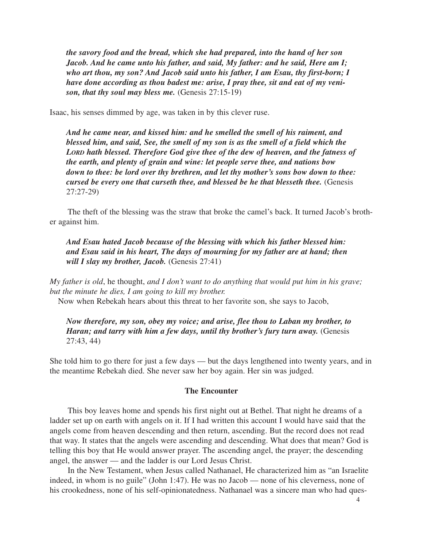*the savory food and the bread, which she had prepared, into the hand of her son Jacob. And he came unto his father, and said, My father: and he said, Here am I; who art thou, my son? And Jacob said unto his father, I am Esau, thy first-born; I have done according as thou badest me: arise, I pray thee, sit and eat of my venison, that thy soul may bless me.* (Genesis 27:15-19)

Isaac, his senses dimmed by age, was taken in by this clever ruse.

*And he came near, and kissed him: and he smelled the smell of his raiment, and blessed him, and said, See, the smell of my son is as the smell of a field which the LORD hath blessed. Therefore God give thee of the dew of heaven, and the fatness of the earth, and plenty of grain and wine: let people serve thee, and nations bow down to thee: be lord over thy brethren, and let thy mother's sons bow down to thee: cursed be every one that curseth thee, and blessed be he that blesseth thee.* (Genesis 27:27-29)

The theft of the blessing was the straw that broke the camel's back. It turned Jacob's brother against him.

*And Esau hated Jacob because of the blessing with which his father blessed him: and Esau said in his heart, The days of mourning for my father are at hand; then will I slay my brother, Jacob.* (Genesis 27:41)

*My father is old*, he thought, *and I don't want to do anything that would put him in his grave; but the minute he dies, I am going to kill my brother.*

Now when Rebekah hears about this threat to her favorite son, she says to Jacob,

*Now therefore, my son, obey my voice; and arise, flee thou to Laban my brother, to Haran; and tarry with him a few days, until thy brother's fury turn away.* (Genesis 27:43, 44)

She told him to go there for just a few days — but the days lengthened into twenty years, and in the meantime Rebekah died. She never saw her boy again. Her sin was judged.

#### **The Encounter**

This boy leaves home and spends his first night out at Bethel. That night he dreams of a ladder set up on earth with angels on it. If I had written this account I would have said that the angels come from heaven descending and then return, ascending. But the record does not read that way. It states that the angels were ascending and descending. What does that mean? God is telling this boy that He would answer prayer. The ascending angel, the prayer; the descending angel, the answer — and the ladder is our Lord Jesus Christ.

In the New Testament, when Jesus called Nathanael, He characterized him as "an Israelite indeed, in whom is no guile" (John 1:47). He was no Jacob — none of his cleverness, none of his crookedness, none of his self-opinionatedness. Nathanael was a sincere man who had ques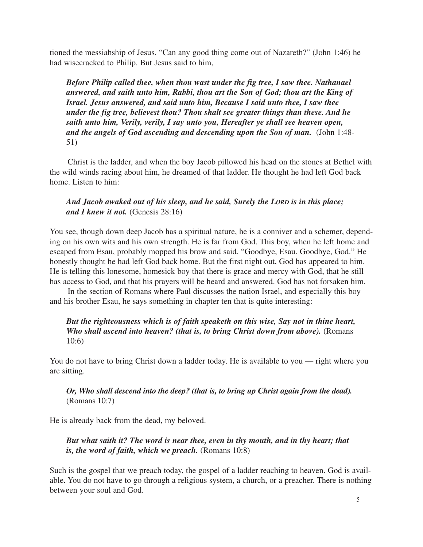tioned the messiahship of Jesus. "Can any good thing come out of Nazareth?" (John 1:46) he had wisecracked to Philip. But Jesus said to him,

*Before Philip called thee, when thou wast under the fig tree, I saw thee. Nathanael answered, and saith unto him, Rabbi, thou art the Son of God; thou art the King of Israel. Jesus answered, and said unto him, Because I said unto thee, I saw thee under the fig tree, believest thou? Thou shalt see greater things than these. And he saith unto him, Verily, verily, I say unto you, Hereafter ye shall see heaven open, and the angels of God ascending and descending upon the Son of man.* (John 1:48- 51)

Christ is the ladder, and when the boy Jacob pillowed his head on the stones at Bethel with the wild winds racing about him, he dreamed of that ladder. He thought he had left God back home. Listen to him:

## *And Jacob awaked out of his sleep, and he said, Surely the LORD is in this place; and I knew it not.* (Genesis 28:16)

You see, though down deep Jacob has a spiritual nature, he is a conniver and a schemer, depending on his own wits and his own strength. He is far from God. This boy, when he left home and escaped from Esau, probably mopped his brow and said, "Goodbye, Esau. Goodbye, God." He honestly thought he had left God back home. But the first night out, God has appeared to him. He is telling this lonesome, homesick boy that there is grace and mercy with God, that he still has access to God, and that his prayers will be heard and answered. God has not forsaken him.

In the section of Romans where Paul discusses the nation Israel, and especially this boy and his brother Esau, he says something in chapter ten that is quite interesting:

## *But the righteousness which is of faith speaketh on this wise, Say not in thine heart, Who shall ascend into heaven? (that is, to bring Christ down from above).* (Romans 10:6)

You do not have to bring Christ down a ladder today. He is available to you — right where you are sitting.

## *Or, Who shall descend into the deep? (that is, to bring up Christ again from the dead).* (Romans 10:7)

He is already back from the dead, my beloved.

## *But what saith it? The word is near thee, even in thy mouth, and in thy heart; that is, the word of faith, which we preach.* (Romans 10:8)

Such is the gospel that we preach today, the gospel of a ladder reaching to heaven. God is available. You do not have to go through a religious system, a church, or a preacher. There is nothing between your soul and God.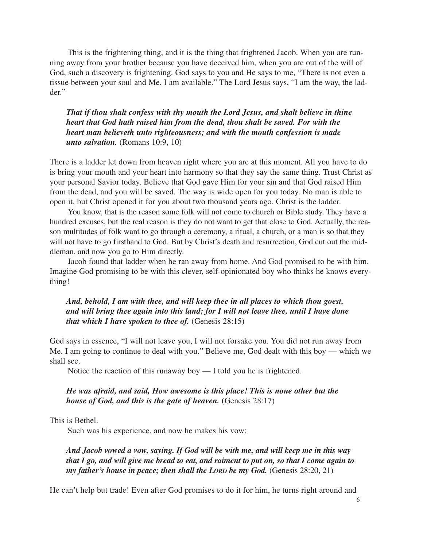This is the frightening thing, and it is the thing that frightened Jacob. When you are running away from your brother because you have deceived him, when you are out of the will of God, such a discovery is frightening. God says to you and He says to me, "There is not even a tissue between your soul and Me. I am available." The Lord Jesus says, "I am the way, the ladder."

*That if thou shalt confess with thy mouth the Lord Jesus, and shalt believe in thine heart that God hath raised him from the dead, thou shalt be saved. For with the heart man believeth unto righteousness; and with the mouth confession is made unto salvation.* (Romans 10:9, 10)

There is a ladder let down from heaven right where you are at this moment. All you have to do is bring your mouth and your heart into harmony so that they say the same thing. Trust Christ as your personal Savior today. Believe that God gave Him for your sin and that God raised Him from the dead, and you will be saved. The way is wide open for you today. No man is able to open it, but Christ opened it for you about two thousand years ago. Christ is the ladder.

You know, that is the reason some folk will not come to church or Bible study. They have a hundred excuses, but the real reason is they do not want to get that close to God. Actually, the reason multitudes of folk want to go through a ceremony, a ritual, a church, or a man is so that they will not have to go firsthand to God. But by Christ's death and resurrection, God cut out the middleman, and now you go to Him directly.

Jacob found that ladder when he ran away from home. And God promised to be with him. Imagine God promising to be with this clever, self-opinionated boy who thinks he knows everything!

## *And, behold, I am with thee, and will keep thee in all places to which thou goest, and will bring thee again into this land; for I will not leave thee, until I have done that which I have spoken to thee of.* (Genesis 28:15)

God says in essence, "I will not leave you, I will not forsake you. You did not run away from Me. I am going to continue to deal with you." Believe me, God dealt with this boy — which we shall see.

Notice the reaction of this runaway boy — I told you he is frightened.

## *He was afraid, and said, How awesome is this place! This is none other but the house of God, and this is the gate of heaven.* (Genesis 28:17)

This is Bethel.

Such was his experience, and now he makes his vow:

*And Jacob vowed a vow, saying, If God will be with me, and will keep me in this way that I go, and will give me bread to eat, and raiment to put on, so that I come again to my father's house in peace; then shall the LORD be my God.* (Genesis 28:20, 21)

He can't help but trade! Even after God promises to do it for him, he turns right around and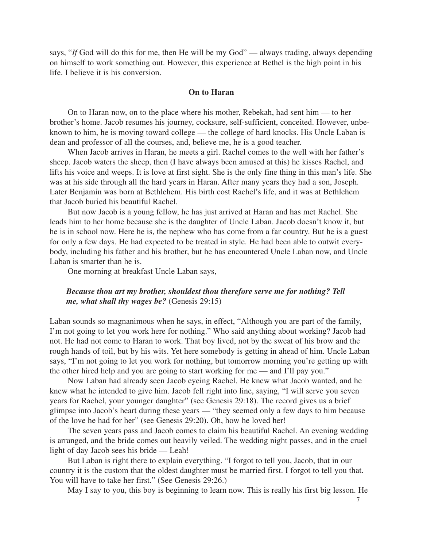says, "*If* God will do this for me, then He will be my God" — always trading, always depending on himself to work something out. However, this experience at Bethel is the high point in his life. I believe it is his conversion.

#### **On to Haran**

On to Haran now, on to the place where his mother, Rebekah, had sent him — to her brother's home. Jacob resumes his journey, cocksure, self-sufficient, conceited. However, unbeknown to him, he is moving toward college — the college of hard knocks. His Uncle Laban is dean and professor of all the courses, and, believe me, he is a good teacher.

When Jacob arrives in Haran, he meets a girl. Rachel comes to the well with her father's sheep. Jacob waters the sheep, then (I have always been amused at this) he kisses Rachel, and lifts his voice and weeps. It is love at first sight. She is the only fine thing in this man's life. She was at his side through all the hard years in Haran. After many years they had a son, Joseph. Later Benjamin was born at Bethlehem. His birth cost Rachel's life, and it was at Bethlehem that Jacob buried his beautiful Rachel.

But now Jacob is a young fellow, he has just arrived at Haran and has met Rachel. She leads him to her home because she is the daughter of Uncle Laban. Jacob doesn't know it, but he is in school now. Here he is, the nephew who has come from a far country. But he is a guest for only a few days. He had expected to be treated in style. He had been able to outwit everybody, including his father and his brother, but he has encountered Uncle Laban now, and Uncle Laban is smarter than he is.

One morning at breakfast Uncle Laban says,

#### *Because thou art my brother, shouldest thou therefore serve me for nothing? Tell me, what shall thy wages be?* (Genesis 29:15)

Laban sounds so magnanimous when he says, in effect, "Although you are part of the family, I'm not going to let you work here for nothing." Who said anything about working? Jacob had not. He had not come to Haran to work. That boy lived, not by the sweat of his brow and the rough hands of toil, but by his wits. Yet here somebody is getting in ahead of him. Uncle Laban says, "I'm not going to let you work for nothing, but tomorrow morning you're getting up with the other hired help and you are going to start working for me — and I'll pay you."

Now Laban had already seen Jacob eyeing Rachel. He knew what Jacob wanted, and he knew what he intended to give him. Jacob fell right into line, saying, "I will serve you seven years for Rachel, your younger daughter" (see Genesis 29:18). The record gives us a brief glimpse into Jacob's heart during these years — "they seemed only a few days to him because of the love he had for her" (see Genesis 29:20). Oh, how he loved her!

The seven years pass and Jacob comes to claim his beautiful Rachel. An evening wedding is arranged, and the bride comes out heavily veiled. The wedding night passes, and in the cruel light of day Jacob sees his bride — Leah!

But Laban is right there to explain everything. "I forgot to tell you, Jacob, that in our country it is the custom that the oldest daughter must be married first. I forgot to tell you that. You will have to take her first." (See Genesis 29:26.)

May I say to you, this boy is beginning to learn now. This is really his first big lesson. He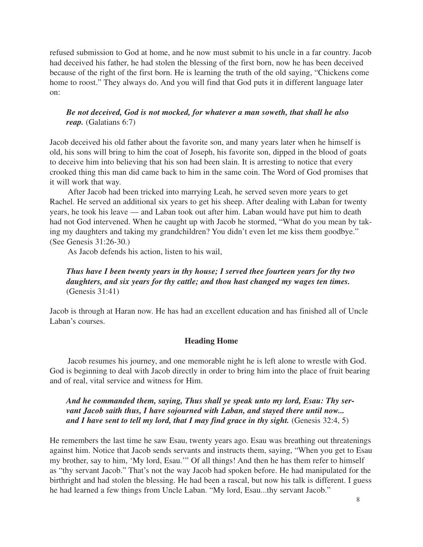refused submission to God at home, and he now must submit to his uncle in a far country. Jacob had deceived his father, he had stolen the blessing of the first born, now he has been deceived because of the right of the first born. He is learning the truth of the old saying, "Chickens come home to roost." They always do. And you will find that God puts it in different language later on:

## *Be not deceived, God is not mocked, for whatever a man soweth, that shall he also reap.* (Galatians 6:7)

Jacob deceived his old father about the favorite son, and many years later when he himself is old, his sons will bring to him the coat of Joseph, his favorite son, dipped in the blood of goats to deceive him into believing that his son had been slain. It is arresting to notice that every crooked thing this man did came back to him in the same coin. The Word of God promises that it will work that way.

After Jacob had been tricked into marrying Leah, he served seven more years to get Rachel. He served an additional six years to get his sheep. After dealing with Laban for twenty years, he took his leave — and Laban took out after him. Laban would have put him to death had not God intervened. When he caught up with Jacob he stormed, "What do you mean by taking my daughters and taking my grandchildren? You didn't even let me kiss them goodbye." (See Genesis 31:26-30.)

As Jacob defends his action, listen to his wail,

# *Thus have I been twenty years in thy house; I served thee fourteen years for thy two daughters, and six years for thy cattle; and thou hast changed my wages ten times.* (Genesis 31:41)

Jacob is through at Haran now. He has had an excellent education and has finished all of Uncle Laban's courses.

## **Heading Home**

Jacob resumes his journey, and one memorable night he is left alone to wrestle with God. God is beginning to deal with Jacob directly in order to bring him into the place of fruit bearing and of real, vital service and witness for Him.

## *And he commanded them, saying, Thus shall ye speak unto my lord, Esau: Thy servant Jacob saith thus, I have sojourned with Laban, and stayed there until now...* and I have sent to tell my lord, that I may find grace in thy sight. (Genesis 32:4, 5)

He remembers the last time he saw Esau, twenty years ago. Esau was breathing out threatenings against him. Notice that Jacob sends servants and instructs them, saying, "When you get to Esau my brother, say to him, 'My lord, Esau.'" Of all things! And then he has them refer to himself as "thy servant Jacob." That's not the way Jacob had spoken before. He had manipulated for the birthright and had stolen the blessing. He had been a rascal, but now his talk is different. I guess he had learned a few things from Uncle Laban. "My lord, Esau...thy servant Jacob."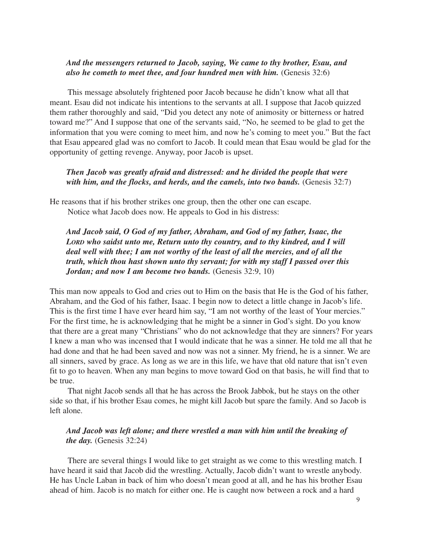## *And the messengers returned to Jacob, saying, We came to thy brother, Esau, and also he cometh to meet thee, and four hundred men with him.* (Genesis 32:6)

This message absolutely frightened poor Jacob because he didn't know what all that meant. Esau did not indicate his intentions to the servants at all. I suppose that Jacob quizzed them rather thoroughly and said, "Did you detect any note of animosity or bitterness or hatred toward me?" And I suppose that one of the servants said, "No, he seemed to be glad to get the information that you were coming to meet him, and now he's coming to meet you." But the fact that Esau appeared glad was no comfort to Jacob. It could mean that Esau would be glad for the opportunity of getting revenge. Anyway, poor Jacob is upset.

*Then Jacob was greatly afraid and distressed: and he divided the people that were* with him, and the flocks, and herds, and the camels, into two bands. *(Genesis 32:7)* 

He reasons that if his brother strikes one group, then the other one can escape. Notice what Jacob does now. He appeals to God in his distress:

*And Jacob said, O God of my father, Abraham, and God of my father, Isaac, the LORD who saidst unto me, Return unto thy country, and to thy kindred, and I will deal well with thee; I am not worthy of the least of all the mercies, and of all the truth, which thou hast shown unto thy servant; for with my staff I passed over this Jordan; and now I am become two bands.* (Genesis 32:9, 10)

This man now appeals to God and cries out to Him on the basis that He is the God of his father, Abraham, and the God of his father, Isaac. I begin now to detect a little change in Jacob's life. This is the first time I have ever heard him say, "I am not worthy of the least of Your mercies." For the first time, he is acknowledging that he might be a sinner in God's sight. Do you know that there are a great many "Christians" who do not acknowledge that they are sinners? For years I knew a man who was incensed that I would indicate that he was a sinner. He told me all that he had done and that he had been saved and now was not a sinner. My friend, he is a sinner. We are all sinners, saved by grace. As long as we are in this life, we have that old nature that isn't even fit to go to heaven. When any man begins to move toward God on that basis, he will find that to be true.

That night Jacob sends all that he has across the Brook Jabbok, but he stays on the other side so that, if his brother Esau comes, he might kill Jacob but spare the family. And so Jacob is left alone.

## *And Jacob was left alone; and there wrestled a man with him until the breaking of the day.* (Genesis 32:24)

There are several things I would like to get straight as we come to this wrestling match. I have heard it said that Jacob did the wrestling. Actually, Jacob didn't want to wrestle anybody. He has Uncle Laban in back of him who doesn't mean good at all, and he has his brother Esau ahead of him. Jacob is no match for either one. He is caught now between a rock and a hard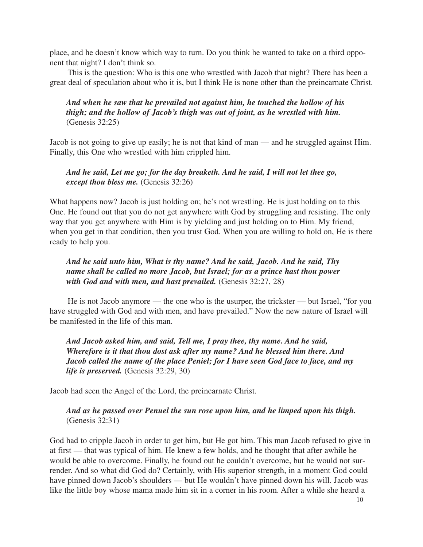place, and he doesn't know which way to turn. Do you think he wanted to take on a third opponent that night? I don't think so.

This is the question: Who is this one who wrestled with Jacob that night? There has been a great deal of speculation about who it is, but I think He is none other than the preincarnate Christ.

## *And when he saw that he prevailed not against him, he touched the hollow of his thigh; and the hollow of Jacob's thigh was out of joint, as he wrestled with him.* (Genesis 32:25)

Jacob is not going to give up easily; he is not that kind of man — and he struggled against Him. Finally, this One who wrestled with him crippled him.

## *And he said, Let me go; for the day breaketh. And he said, I will not let thee go, except thou bless me.* (Genesis 32:26)

What happens now? Jacob is just holding on; he's not wrestling. He is just holding on to this One. He found out that you do not get anywhere with God by struggling and resisting. The only way that you get anywhere with Him is by yielding and just holding on to Him. My friend, when you get in that condition, then you trust God. When you are willing to hold on, He is there ready to help you.

## *And he said unto him, What is thy name? And he said, Jacob. And he said, Thy name shall be called no more Jacob, but Israel; for as a prince hast thou power with God and with men, and hast prevailed.* (Genesis 32:27, 28)

He is not Jacob anymore — the one who is the usurper, the trickster — but Israel, "for you have struggled with God and with men, and have prevailed." Now the new nature of Israel will be manifested in the life of this man.

## *And Jacob asked him, and said, Tell me, I pray thee, thy name. And he said, Wherefore is it that thou dost ask after my name? And he blessed him there. And Jacob called the name of the place Peniel; for I have seen God face to face, and my life is preserved.* (Genesis 32:29, 30)

Jacob had seen the Angel of the Lord, the preincarnate Christ.

# *And as he passed over Penuel the sun rose upon him, and he limped upon his thigh.* (Genesis 32:31)

God had to cripple Jacob in order to get him, but He got him. This man Jacob refused to give in at first — that was typical of him. He knew a few holds, and he thought that after awhile he would be able to overcome. Finally, he found out he couldn't overcome, but he would not surrender. And so what did God do? Certainly, with His superior strength, in a moment God could have pinned down Jacob's shoulders — but He wouldn't have pinned down his will. Jacob was like the little boy whose mama made him sit in a corner in his room. After a while she heard a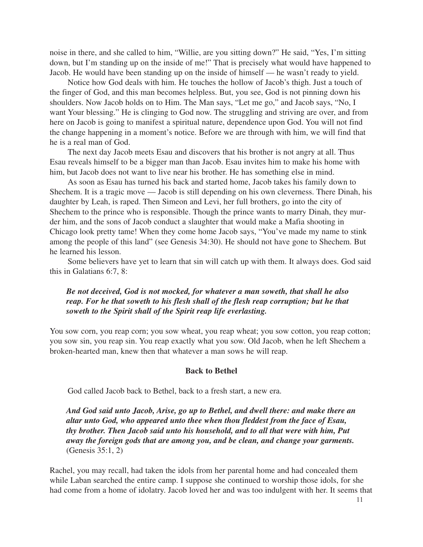noise in there, and she called to him, "Willie, are you sitting down?" He said, "Yes, I'm sitting down, but I'm standing up on the inside of me!" That is precisely what would have happened to Jacob. He would have been standing up on the inside of himself — he wasn't ready to yield.

Notice how God deals with him. He touches the hollow of Jacob's thigh. Just a touch of the finger of God, and this man becomes helpless. But, you see, God is not pinning down his shoulders. Now Jacob holds on to Him. The Man says, "Let me go," and Jacob says, "No, I want Your blessing." He is clinging to God now. The struggling and striving are over, and from here on Jacob is going to manifest a spiritual nature, dependence upon God. You will not find the change happening in a moment's notice. Before we are through with him, we will find that he is a real man of God.

The next day Jacob meets Esau and discovers that his brother is not angry at all. Thus Esau reveals himself to be a bigger man than Jacob. Esau invites him to make his home with him, but Jacob does not want to live near his brother. He has something else in mind.

As soon as Esau has turned his back and started home, Jacob takes his family down to Shechem. It is a tragic move — Jacob is still depending on his own cleverness. There Dinah, his daughter by Leah, is raped. Then Simeon and Levi, her full brothers, go into the city of Shechem to the prince who is responsible. Though the prince wants to marry Dinah, they murder him, and the sons of Jacob conduct a slaughter that would make a Mafia shooting in Chicago look pretty tame! When they come home Jacob says, "You've made my name to stink among the people of this land" (see Genesis 34:30). He should not have gone to Shechem. But he learned his lesson.

Some believers have yet to learn that sin will catch up with them. It always does. God said this in Galatians 6:7, 8:

## *Be not deceived, God is not mocked, for whatever a man soweth, that shall he also reap. For he that soweth to his flesh shall of the flesh reap corruption; but he that soweth to the Spirit shall of the Spirit reap life everlasting.*

You sow corn, you reap corn; you sow wheat, you reap wheat; you sow cotton, you reap cotton; you sow sin, you reap sin. You reap exactly what you sow. Old Jacob, when he left Shechem a broken-hearted man, knew then that whatever a man sows he will reap.

#### **Back to Bethel**

God called Jacob back to Bethel, back to a fresh start, a new era.

*And God said unto Jacob, Arise, go up to Bethel, and dwell there: and make there an altar unto God, who appeared unto thee when thou fleddest from the face of Esau, thy brother. Then Jacob said unto his household, and to all that were with him, Put away the foreign gods that are among you, and be clean, and change your garments.* (Genesis 35:1, 2)

Rachel, you may recall, had taken the idols from her parental home and had concealed them while Laban searched the entire camp. I suppose she continued to worship those idols, for she had come from a home of idolatry. Jacob loved her and was too indulgent with her. It seems that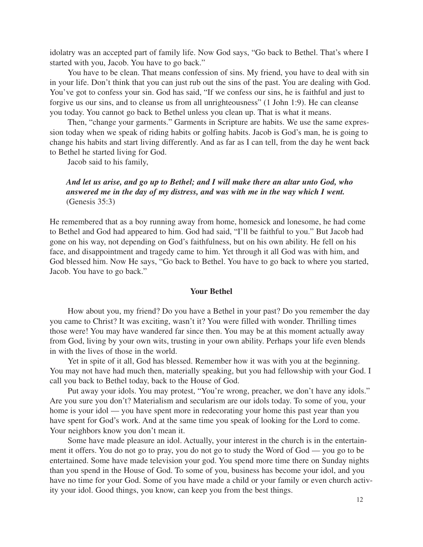idolatry was an accepted part of family life. Now God says, "Go back to Bethel. That's where I started with you, Jacob. You have to go back."

You have to be clean. That means confession of sins. My friend, you have to deal with sin in your life. Don't think that you can just rub out the sins of the past. You are dealing with God. You've got to confess your sin. God has said, "If we confess our sins, he is faithful and just to forgive us our sins, and to cleanse us from all unrighteousness" (1 John 1:9). He can cleanse you today. You cannot go back to Bethel unless you clean up. That is what it means.

Then, "change your garments." Garments in Scripture are habits. We use the same expression today when we speak of riding habits or golfing habits. Jacob is God's man, he is going to change his habits and start living differently. And as far as I can tell, from the day he went back to Bethel he started living for God.

Jacob said to his family,

## *And let us arise, and go up to Bethel; and I will make there an altar unto God, who answered me in the day of my distress, and was with me in the way which I went.* (Genesis 35:3)

He remembered that as a boy running away from home, homesick and lonesome, he had come to Bethel and God had appeared to him. God had said, "I'll be faithful to you." But Jacob had gone on his way, not depending on God's faithfulness, but on his own ability. He fell on his face, and disappointment and tragedy came to him. Yet through it all God was with him, and God blessed him. Now He says, "Go back to Bethel. You have to go back to where you started, Jacob. You have to go back."

#### **Your Bethel**

How about you, my friend? Do you have a Bethel in your past? Do you remember the day you came to Christ? It was exciting, wasn't it? You were filled with wonder. Thrilling times those were! You may have wandered far since then. You may be at this moment actually away from God, living by your own wits, trusting in your own ability. Perhaps your life even blends in with the lives of those in the world.

Yet in spite of it all, God has blessed. Remember how it was with you at the beginning. You may not have had much then, materially speaking, but you had fellowship with your God. I call you back to Bethel today, back to the House of God.

Put away your idols. You may protest, "You're wrong, preacher, we don't have any idols." Are you sure you don't? Materialism and secularism are our idols today. To some of you, your home is your idol — you have spent more in redecorating your home this past year than you have spent for God's work. And at the same time you speak of looking for the Lord to come. Your neighbors know you don't mean it.

Some have made pleasure an idol. Actually, your interest in the church is in the entertainment it offers. You do not go to pray, you do not go to study the Word of God — you go to be entertained. Some have made television your god. You spend more time there on Sunday nights than you spend in the House of God. To some of you, business has become your idol, and you have no time for your God. Some of you have made a child or your family or even church activity your idol. Good things, you know, can keep you from the best things.